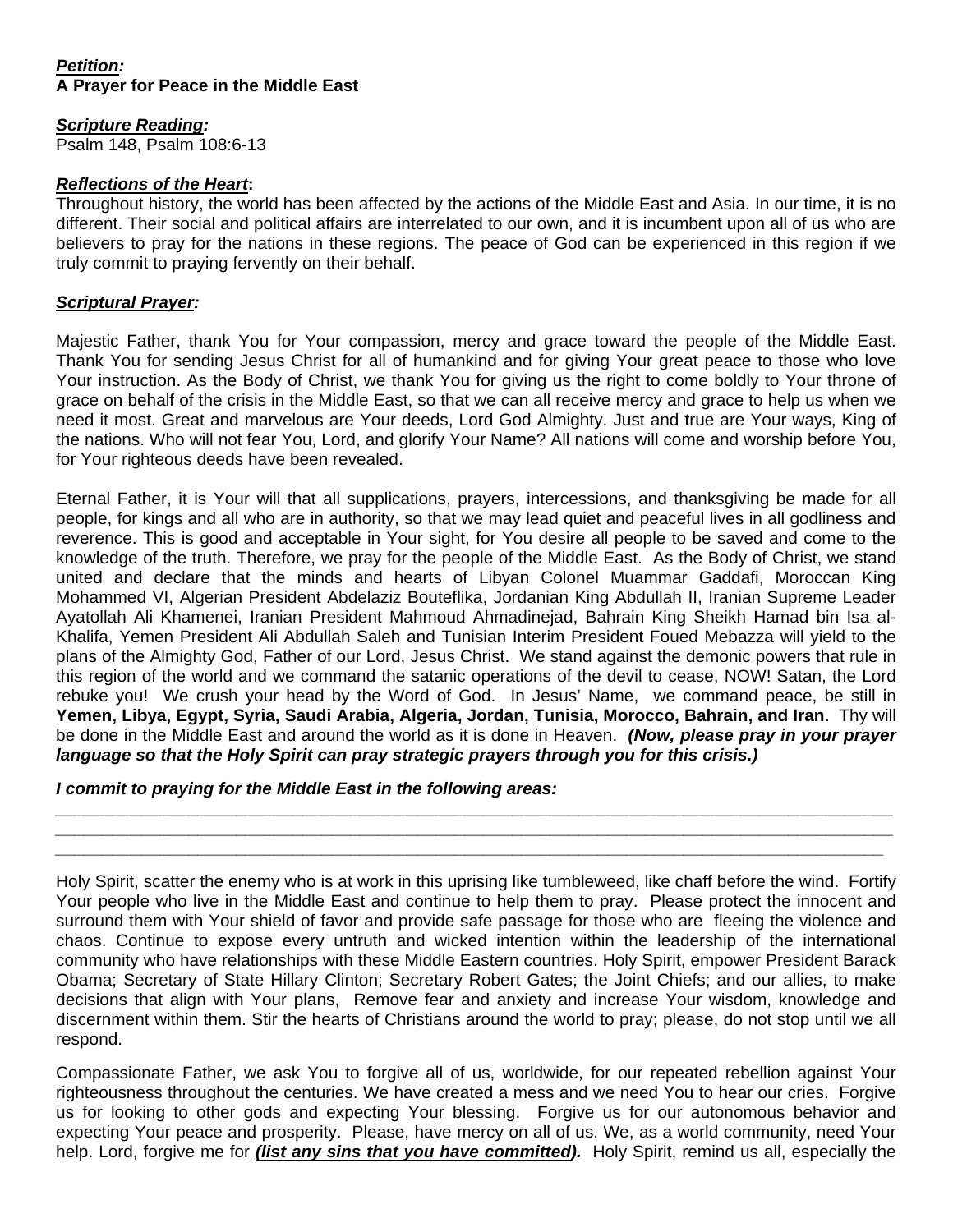# *Petition:*  **A Prayer for Peace in the Middle East**

# *Scripture Reading:*

Psalm 148, Psalm 108:6-13

### *Reflections of the Heart***:**

Throughout history, the world has been affected by the actions of the Middle East and Asia. In our time, it is no different. Their social and political affairs are interrelated to our own, and it is incumbent upon all of us who are believers to pray for the nations in these regions. The peace of God can be experienced in this region if we truly commit to praying fervently on their behalf.

### *Scriptural Prayer:*

Majestic Father, thank You for Your compassion, mercy and grace toward the people of the Middle East. Thank You for sending Jesus Christ for all of humankind and for giving Your great peace to those who love Your instruction. As the Body of Christ, we thank You for giving us the right to come boldly to Your throne of grace on behalf of the crisis in the Middle East, so that we can all receive mercy and grace to help us when we need it most. Great and marvelous are Your deeds, Lord God Almighty. Just and true are Your ways, King of the nations. Who will not fear You, Lord, and glorify Your Name? All nations will come and worship before You, for Your righteous deeds have been revealed.

Eternal Father, it is Your will that all supplications, prayers, intercessions, and thanksgiving be made for all people, for kings and all who are in authority, so that we may lead quiet and peaceful lives in all godliness and reverence. This is good and acceptable in Your sight, for You desire all people to be saved and come to the knowledge of the truth. Therefore, we pray for the people of the Middle East. As the Body of Christ, we stand united and declare that the minds and hearts of Libyan Colonel Muammar Gaddafi, Moroccan King Mohammed VI, Algerian President Abdelaziz Bouteflika, Jordanian King Abdullah II, Iranian Supreme Leader Ayatollah Ali Khamenei, Iranian President Mahmoud Ahmadinejad, Bahrain King Sheikh Hamad bin Isa al-Khalifa, Yemen President Ali Abdullah Saleh and Tunisian Interim President Foued Mebazza will yield to the plans of the Almighty God, Father of our Lord, Jesus Christ. We stand against the demonic powers that rule in this region of the world and we command the satanic operations of the devil to cease, NOW! Satan, the Lord rebuke you! We crush your head by the Word of God. In Jesus' Name, we command peace, be still in **Yemen, Libya, Egypt, Syria, Saudi Arabia, Algeria, Jordan, Tunisia, Morocco, Bahrain, and Iran.** Thy will be done in the Middle East and around the world as it is done in Heaven. *(Now, please pray in your prayer language so that the Holy Spirit can pray strategic prayers through you for this crisis.)*

# *I commit to praying for the Middle East in the following areas:*

Holy Spirit, scatter the enemy who is at work in this uprising like tumbleweed, like chaff before the wind. Fortify Your people who live in the Middle East and continue to help them to pray. Please protect the innocent and surround them with Your shield of favor and provide safe passage for those who are fleeing the violence and chaos. Continue to expose every untruth and wicked intention within the leadership of the international community who have relationships with these Middle Eastern countries. Holy Spirit, empower President Barack Obama; Secretary of State Hillary Clinton; Secretary Robert Gates; the Joint Chiefs; and our allies, to make decisions that align with Your plans, Remove fear and anxiety and increase Your wisdom, knowledge and discernment within them. Stir the hearts of Christians around the world to pray; please, do not stop until we all respond.

*\_\_\_\_\_\_\_\_\_\_\_\_\_\_\_\_\_\_\_\_\_\_\_\_\_\_\_\_\_\_\_\_\_\_\_\_\_\_\_\_\_\_\_\_\_\_\_\_\_\_\_\_\_\_\_\_\_\_\_\_\_\_\_\_\_\_\_\_\_\_\_\_\_\_\_\_\_\_\_\_\_\_\_\_\_\_\_\_ \_\_\_\_\_\_\_\_\_\_\_\_\_\_\_\_\_\_\_\_\_\_\_\_\_\_\_\_\_\_\_\_\_\_\_\_\_\_\_\_\_\_\_\_\_\_\_\_\_\_\_\_\_\_\_\_\_\_\_\_\_\_\_\_\_\_\_\_\_\_\_\_\_\_\_\_\_\_\_\_\_\_\_\_\_\_\_\_ \_\_\_\_\_\_\_\_\_\_\_\_\_\_\_\_\_\_\_\_\_\_\_\_\_\_\_\_\_\_\_\_\_\_\_\_\_\_\_\_\_\_\_\_\_\_\_\_\_\_\_\_\_\_\_\_\_\_\_\_\_\_\_\_\_\_\_\_\_\_\_\_\_\_\_\_\_\_\_\_\_\_\_\_\_\_\_* 

Compassionate Father, we ask You to forgive all of us, worldwide, for our repeated rebellion against Your righteousness throughout the centuries. We have created a mess and we need You to hear our cries. Forgive us for looking to other gods and expecting Your blessing. Forgive us for our autonomous behavior and expecting Your peace and prosperity. Please, have mercy on all of us. We, as a world community, need Your help. Lord, forgive me for *(list any sins that you have committed).* Holy Spirit, remind us all, especially the